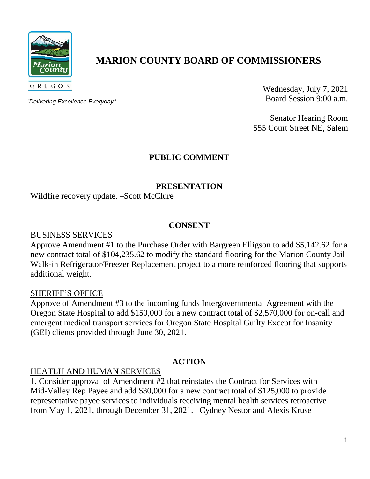

# **MARION COUNTY BOARD OF COMMISSIONERS**

*"Delivering Excellence Everyday"*

Wednesday, July 7, 2021 Board Session 9:00 a.m.

Senator Hearing Room 555 Court Street NE, Salem

## **PUBLIC COMMENT**

## **PRESENTATION**

Wildfire recovery update. –Scott McClure

#### **CONSENT**

BUSINESS SERVICES

Approve Amendment #1 to the Purchase Order with Bargreen Elligson to add \$5,142.62 for a new contract total of \$104,235.62 to modify the standard flooring for the Marion County Jail Walk-in Refrigerator/Freezer Replacement project to a more reinforced flooring that supports additional weight.

#### SHERIFF'S OFFICE

Approve of Amendment #3 to the incoming funds Intergovernmental Agreement with the Oregon State Hospital to add \$150,000 for a new contract total of \$2,570,000 for on-call and emergent medical transport services for Oregon State Hospital Guilty Except for Insanity (GEI) clients provided through June 30, 2021.

## **ACTION**

## HEATLH AND HUMAN SERVICES

1. Consider approval of Amendment #2 that reinstates the Contract for Services with Mid-Valley Rep Payee and add \$30,000 for a new contract total of \$125,000 to provide representative payee services to individuals receiving mental health services retroactive from May 1, 2021, through December 31, 2021. –Cydney Nestor and Alexis Kruse